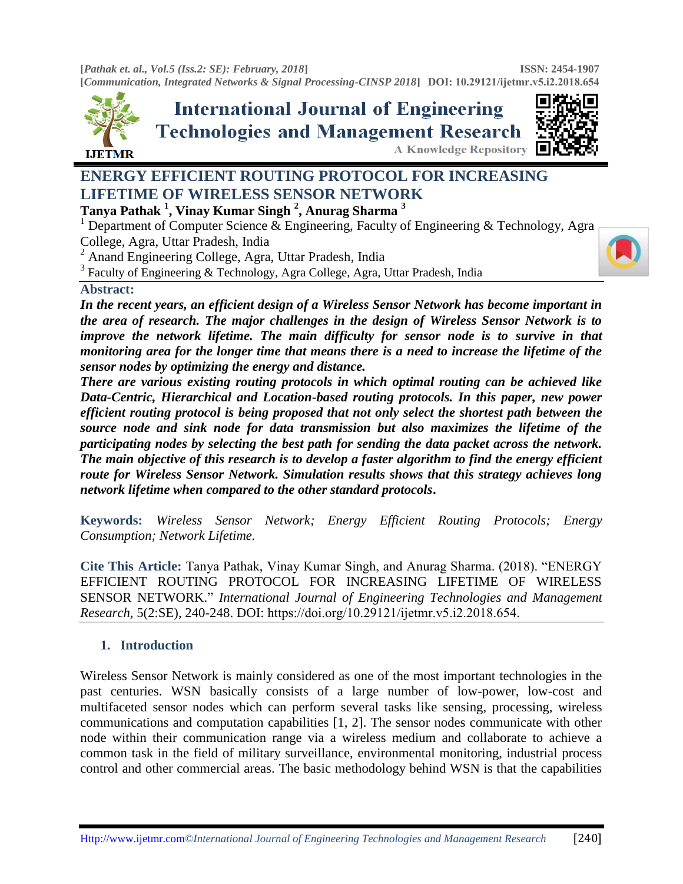**[***Pathak et. al., Vol.5 (Iss.2: SE): February, 2018***] [***Communication, Integrated Networks & Signal Processing-CINSP 2018***] DOI: [10.29121/ijetmr.](http://www.ijetmr.com/)v5.i2.2018.654 ISSN: 2454-1907** 



**International Journal of Engineering Technologies and Management Research A Knowledge Repository** 



# **ENERGY EFFICIENT ROUTING PROTOCOL FOR INCREASING LIFETIME OF WIRELESS SENSOR NETWORK**

**Tanya Pathak <sup>1</sup> , Vinay Kumar Singh <sup>2</sup> , Anurag Sharma <sup>3</sup>**

<sup>1</sup> Department of Computer Science & Engineering, Faculty of Engineering & Technology, Agra College, Agra, Uttar Pradesh, India

<sup>2</sup> Anand Engineering College, Agra, Uttar Pradesh, India

<sup>3</sup> Faculty of Engineering & Technology, Agra College, Agra, Uttar Pradesh, India

#### **Abstract:**

*In the recent years, an efficient design of a Wireless Sensor Network has become important in the area of research. The major challenges in the design of Wireless Sensor Network is to improve the network lifetime. The main difficulty for sensor node is to survive in that monitoring area for the longer time that means there is a need to increase the lifetime of the sensor nodes by optimizing the energy and distance.* 

*There are various existing routing protocols in which optimal routing can be achieved like Data-Centric, Hierarchical and Location-based routing protocols. In this paper, new power efficient routing protocol is being proposed that not only select the shortest path between the source node and sink node for data transmission but also maximizes the lifetime of the participating nodes by selecting the best path for sending the data packet across the network. The main objective of this research is to develop a faster algorithm to find the energy efficient route for Wireless Sensor Network. Simulation results shows that this strategy achieves long network lifetime when compared to the other standard protocols***.**

**Keywords:** *Wireless Sensor Network; Energy Efficient Routing Protocols; Energy Consumption; Network Lifetime.* 

**Cite This Article:** Tanya Pathak, Vinay Kumar Singh, and Anurag Sharma. (2018). "ENERGY EFFICIENT ROUTING PROTOCOL FOR INCREASING LIFETIME OF WIRELESS SENSOR NETWORK." *International Journal of Engineering Technologies and Management Research,* 5(2:SE), 240-248. DOI: https://doi.org/10.29121/ijetmr.v5.i2.2018.654.

#### **1. Introduction**

Wireless Sensor Network is mainly considered as one of the most important technologies in the past centuries. WSN basically consists of a large number of low-power, low-cost and multifaceted sensor nodes which can perform several tasks like sensing, processing, wireless communications and computation capabilities [1, 2]. The sensor nodes communicate with other node within their communication range via a wireless medium and collaborate to achieve a common task in the field of military surveillance, environmental monitoring, industrial process control and other commercial areas. The basic methodology behind WSN is that the capabilities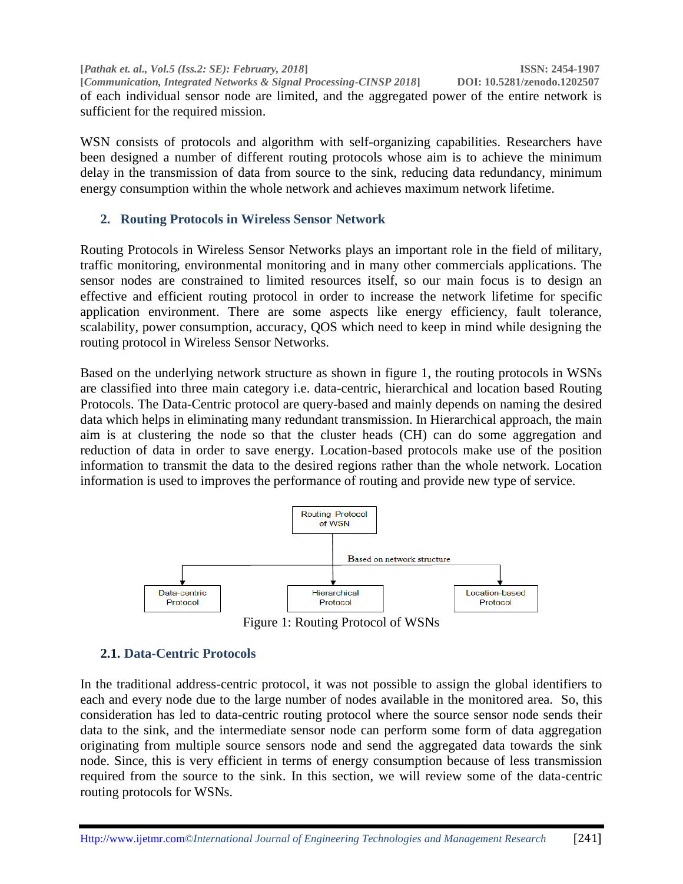**[***Pathak et. al., Vol.5 (Iss.2: SE): February, 2018***] ISSN: 2454-1907 [***Communication, Integrated Networks & Signal Processing-CINSP 2018***] DOI: 10.5281/zenodo.1202507** of each individual sensor node are limited, and the aggregated power of the entire network is sufficient for the required mission.

WSN consists of protocols and algorithm with self-organizing capabilities. Researchers have been designed a number of different routing protocols whose aim is to achieve the minimum delay in the transmission of data from source to the sink, reducing data redundancy, minimum energy consumption within the whole network and achieves maximum network lifetime.

## **2. Routing Protocols in Wireless Sensor Network**

Routing Protocols in Wireless Sensor Networks plays an important role in the field of military, traffic monitoring, environmental monitoring and in many other commercials applications. The sensor nodes are constrained to limited resources itself, so our main focus is to design an effective and efficient routing protocol in order to increase the network lifetime for specific application environment. There are some aspects like energy efficiency, fault tolerance, scalability, power consumption, accuracy, QOS which need to keep in mind while designing the routing protocol in Wireless Sensor Networks.

Based on the underlying network structure as shown in figure 1, the routing protocols in WSNs are classified into three main category i.e. data-centric, hierarchical and location based Routing Protocols. The Data-Centric protocol are query-based and mainly depends on naming the desired data which helps in eliminating many redundant transmission. In Hierarchical approach, the main aim is at clustering the node so that the cluster heads (CH) can do some aggregation and reduction of data in order to save energy. Location-based protocols make use of the position information to transmit the data to the desired regions rather than the whole network. Location information is used to improves the performance of routing and provide new type of service.



Figure 1: Routing Protocol of WSNs

# **2.1. Data-Centric Protocols**

In the traditional address-centric protocol, it was not possible to assign the global identifiers to each and every node due to the large number of nodes available in the monitored area. So, this consideration has led to data-centric routing protocol where the source sensor node sends their data to the sink, and the intermediate sensor node can perform some form of data aggregation originating from multiple source sensors node and send the aggregated data towards the sink node. Since, this is very efficient in terms of energy consumption because of less transmission required from the source to the sink. In this section, we will review some of the data-centric routing protocols for WSNs.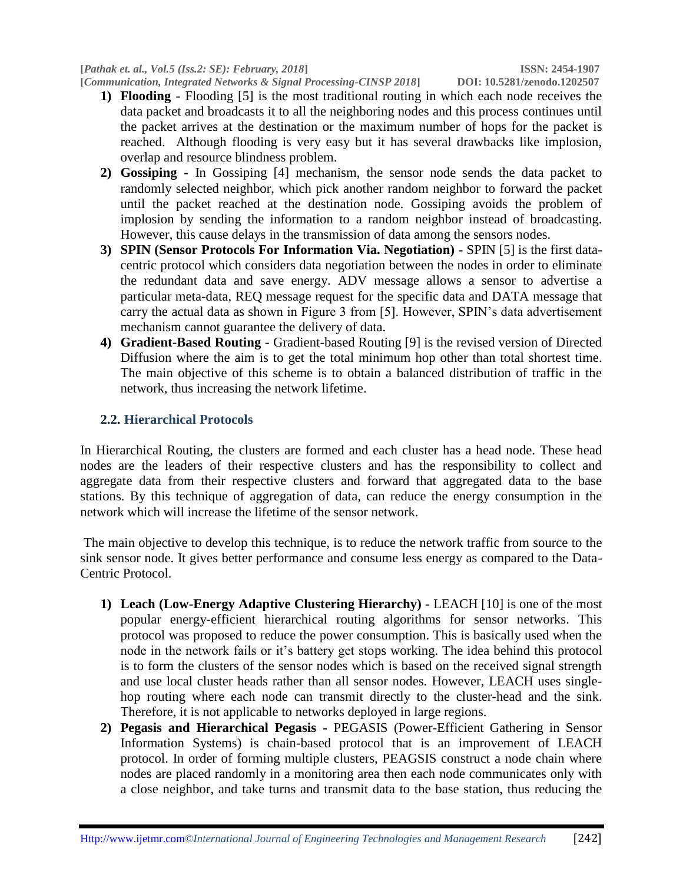- **1) Flooding -** Flooding [5] is the most traditional routing in which each node receives the data packet and broadcasts it to all the neighboring nodes and this process continues until the packet arrives at the destination or the maximum number of hops for the packet is reached. Although flooding is very easy but it has several drawbacks like implosion, overlap and resource blindness problem.
- **2) Gossiping -** In Gossiping [4] mechanism, the sensor node sends the data packet to randomly selected neighbor, which pick another random neighbor to forward the packet until the packet reached at the destination node. Gossiping avoids the problem of implosion by sending the information to a random neighbor instead of broadcasting. However, this cause delays in the transmission of data among the sensors nodes.
- **3) SPIN (Sensor Protocols For Information Via. Negotiation) -** SPIN [5] is the first datacentric protocol which considers data negotiation between the nodes in order to eliminate the redundant data and save energy. ADV message allows a sensor to advertise a particular meta-data, REQ message request for the specific data and DATA message that carry the actual data as shown in Figure 3 from [5]. However, SPIN's data advertisement mechanism cannot guarantee the delivery of data.
- **4) Gradient-Based Routing -** Gradient-based Routing [9] is the revised version of Directed Diffusion where the aim is to get the total minimum hop other than total shortest time. The main objective of this scheme is to obtain a balanced distribution of traffic in the network, thus increasing the network lifetime.

# **2.2. Hierarchical Protocols**

In Hierarchical Routing, the clusters are formed and each cluster has a head node. These head nodes are the leaders of their respective clusters and has the responsibility to collect and aggregate data from their respective clusters and forward that aggregated data to the base stations. By this technique of aggregation of data, can reduce the energy consumption in the network which will increase the lifetime of the sensor network.

The main objective to develop this technique, is to reduce the network traffic from source to the sink sensor node. It gives better performance and consume less energy as compared to the Data-Centric Protocol.

- **1) Leach (Low-Energy Adaptive Clustering Hierarchy) -** LEACH [10] is one of the most popular energy-efficient hierarchical routing algorithms for sensor networks. This protocol was proposed to reduce the power consumption. This is basically used when the node in the network fails or it's battery get stops working. The idea behind this protocol is to form the clusters of the sensor nodes which is based on the received signal strength and use local cluster heads rather than all sensor nodes. However, LEACH uses singlehop routing where each node can transmit directly to the cluster-head and the sink. Therefore, it is not applicable to networks deployed in large regions.
- **2) Pegasis and Hierarchical Pegasis -** PEGASIS (Power-Efficient Gathering in Sensor Information Systems) is chain-based protocol that is an improvement of LEACH protocol. In order of forming multiple clusters, PEAGSIS construct a node chain where nodes are placed randomly in a monitoring area then each node communicates only with a close neighbor, and take turns and transmit data to the base station, thus reducing the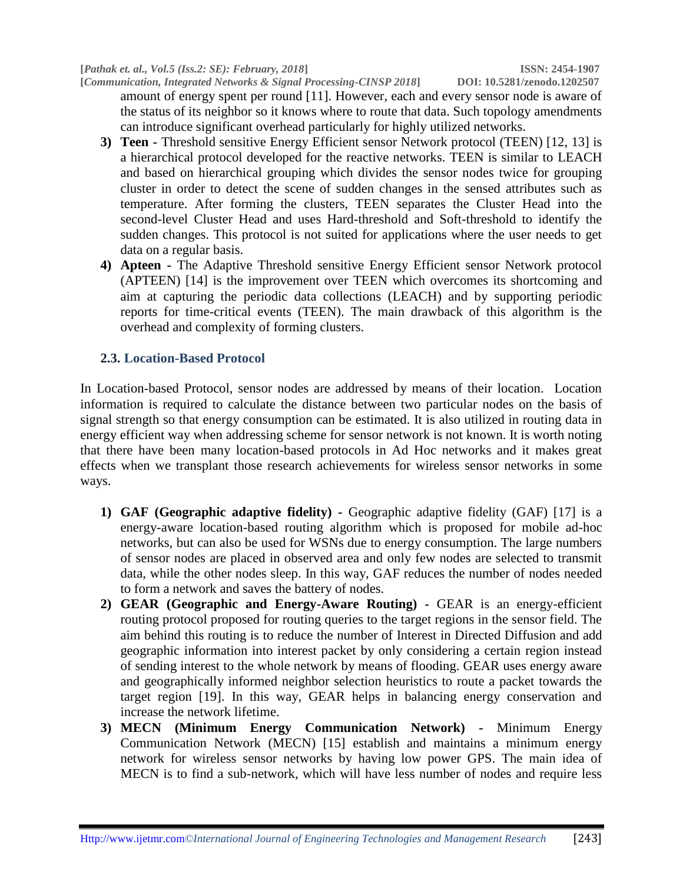**[***Communication, Integrated Networks & Signal Processing-CINSP 2018***] DOI: 10.5281/zenodo.1202507** amount of energy spent per round [11]. However, each and every sensor node is aware of the status of its neighbor so it knows where to route that data. Such topology amendments can introduce significant overhead particularly for highly utilized networks.

- **3) Teen -** Threshold sensitive Energy Efficient sensor Network protocol (TEEN) [12, 13] is a hierarchical protocol developed for the reactive networks. TEEN is similar to LEACH and based on hierarchical grouping which divides the sensor nodes twice for grouping cluster in order to detect the scene of sudden changes in the sensed attributes such as temperature. After forming the clusters, TEEN separates the Cluster Head into the second-level Cluster Head and uses Hard-threshold and Soft-threshold to identify the sudden changes. This protocol is not suited for applications where the user needs to get data on a regular basis.
- **4) Apteen -** The Adaptive Threshold sensitive Energy Efficient sensor Network protocol (APTEEN) [14] is the improvement over TEEN which overcomes its shortcoming and aim at capturing the periodic data collections (LEACH) and by supporting periodic reports for time-critical events (TEEN). The main drawback of this algorithm is the overhead and complexity of forming clusters.

#### **2.3. Location-Based Protocol**

In Location-based Protocol, sensor nodes are addressed by means of their location. Location information is required to calculate the distance between two particular nodes on the basis of signal strength so that energy consumption can be estimated. It is also utilized in routing data in energy efficient way when addressing scheme for sensor network is not known. It is worth noting that there have been many location-based protocols in Ad Hoc networks and it makes great effects when we transplant those research achievements for wireless sensor networks in some ways.

- **1) GAF (Geographic adaptive fidelity) -** Geographic adaptive fidelity (GAF) [17] is a energy-aware location-based routing algorithm which is proposed for mobile ad-hoc networks, but can also be used for WSNs due to energy consumption. The large numbers of sensor nodes are placed in observed area and only few nodes are selected to transmit data, while the other nodes sleep. In this way, GAF reduces the number of nodes needed to form a network and saves the battery of nodes.
- **2) GEAR (Geographic and Energy-Aware Routing) -** GEAR is an energy-efficient routing protocol proposed for routing queries to the target regions in the sensor field. The aim behind this routing is to reduce the number of Interest in Directed Diffusion and add geographic information into interest packet by only considering a certain region instead of sending interest to the whole network by means of flooding. GEAR uses energy aware and geographically informed neighbor selection heuristics to route a packet towards the target region [19]. In this way, GEAR helps in balancing energy conservation and increase the network lifetime.
- **3) MECN (Minimum Energy Communication Network) -** Minimum Energy Communication Network (MECN) [15] establish and maintains a minimum energy network for wireless sensor networks by having low power GPS. The main idea of MECN is to find a sub-network, which will have less number of nodes and require less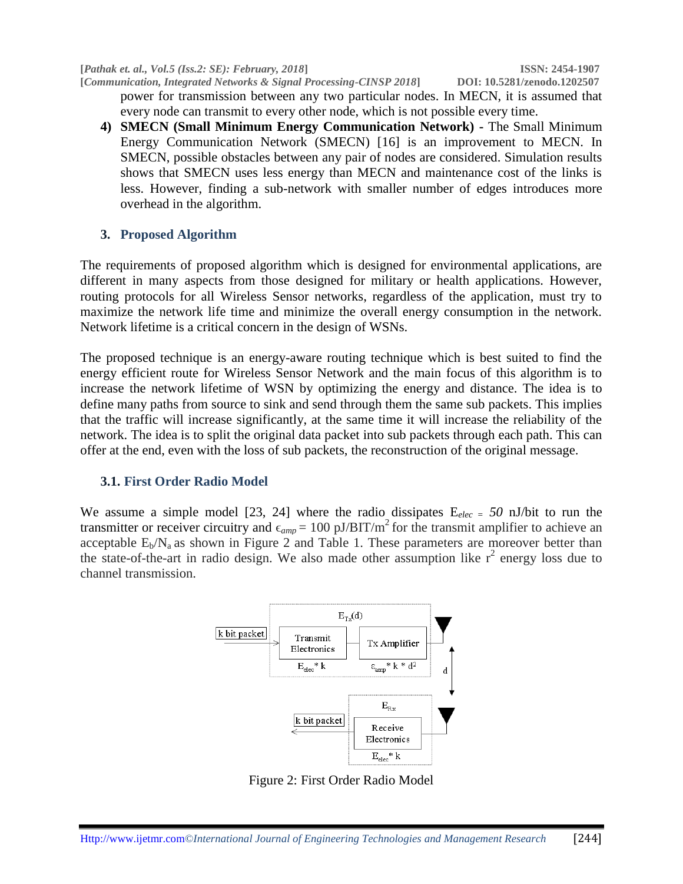**[***Pathak et. al., Vol.5 (Iss.2: SE): February, 2018***] ISSN: 2454-1907**

**[***Communication, Integrated Networks & Signal Processing-CINSP 2018***] DOI: 10.5281/zenodo.1202507** power for transmission between any two particular nodes. In MECN, it is assumed that every node can transmit to every other node, which is not possible every time.

**4) SMECN (Small Minimum Energy Communication Network) -** The Small Minimum Energy Communication Network (SMECN) [16] is an improvement to MECN. In SMECN, possible obstacles between any pair of nodes are considered. Simulation results shows that SMECN uses less energy than MECN and maintenance cost of the links is less. However, finding a sub-network with smaller number of edges introduces more overhead in the algorithm.

#### **3. Proposed Algorithm**

The requirements of proposed algorithm which is designed for environmental applications, are different in many aspects from those designed for military or health applications. However, routing protocols for all Wireless Sensor networks, regardless of the application, must try to maximize the network life time and minimize the overall energy consumption in the network. Network lifetime is a critical concern in the design of WSNs.

The proposed technique is an energy-aware routing technique which is best suited to find the energy efficient route for Wireless Sensor Network and the main focus of this algorithm is to increase the network lifetime of WSN by optimizing the energy and distance. The idea is to define many paths from source to sink and send through them the same sub packets. This implies that the traffic will increase significantly, at the same time it will increase the reliability of the network. The idea is to split the original data packet into sub packets through each path. This can offer at the end, even with the loss of sub packets, the reconstruction of the original message.

#### **3.1. First Order Radio Model**

We assume a simple model [23, 24] where the radio dissipates E*elec = 50* nJ/bit to run the transmitter or receiver circuitry and  $\epsilon_{amp} = 100 \text{ pJ/BIT/m}^2$  for the transmit amplifier to achieve an acceptable  $E_b/N_a$  as shown in Figure 2 and Table 1. These parameters are moreover better than the state-of-the-art in radio design. We also made other assumption like  $r^2$  energy loss due to channel transmission.



Figure 2: First Order Radio Model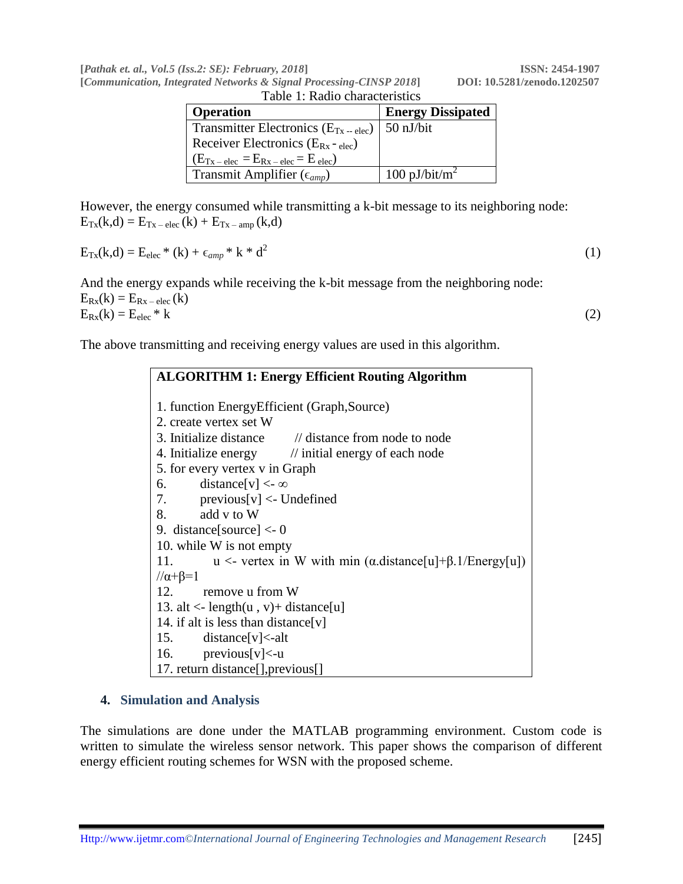**[***Pathak et. al., Vol.5 (Iss.2: SE): February, 2018***] ISSN: 2454-1907**

**[***Communication, Integrated Networks & Signal Processing-CINSP 2018***] DOI: 10.5281/zenodo.1202507**

| [Communication, Integrated Networks & Signal Processing-CINSP 2018] |  |  |                                |
|---------------------------------------------------------------------|--|--|--------------------------------|
|                                                                     |  |  | Table 1: Radio characteristics |

| Table 1. Kaulu characterístics            |                          |  |  |  |
|-------------------------------------------|--------------------------|--|--|--|
| <b>Operation</b>                          | <b>Energy Dissipated</b> |  |  |  |
| Transmitter Electronics $(E_{Tx - elec})$ | $50$ nJ/bit              |  |  |  |
| Receiver Electronics $(E_{Rx} - elec)$    |                          |  |  |  |
| $(ETx - elec = ERx - elec = Eelec)$       |                          |  |  |  |
| Transmit Amplifier ( $\epsilon_{amp}$ )   | 100 pJ/bit/ $m^2$        |  |  |  |

However, the energy consumed while transmitting a k-bit message to its neighboring node:  $E_{Tx}(k,d) = E_{Tx - elec}(k) + E_{Tx - amp}(k,d)$ 

$$
E_{Tx}(k,d) = E_{elec} * (k) + \epsilon_{amp} * k * d^2
$$
\n
$$
(1)
$$

And the energy expands while receiving the k-bit message from the neighboring node:  $E_{Rx}(k) = E_{Rx - elec}(k)$  $E_{\text{Rx}}(k) = E_{\text{elec}} * k$  (2)

The above transmitting and receiving energy values are used in this algorithm.

# **ALGORITHM 1: Energy Efficient Routing Algorithm** 1. function EnergyEfficient (Graph,Source) 2. create vertex set W 3. Initialize distance // distance from node to node 4. Initialize energy // initial energy of each node 5. for every vertex v in Graph 6. distance  $[v] < \infty$ 7. previous[v] <- Undefined 8. add v to W 9. distance[source] <- 0 10. while W is not empty 11.  $u \leq$  vertex in W with min ( $\alpha$ .distance[u]+ $\beta$ .1/Energy[u])  $1/\alpha + \beta = 1$ 12. remove u from W 13. alt  $\langle$ - length $(u, v)$ + distance[u] 14. if alt is less than distance[v] 15. distance[v]<-alt 16. previous[v]<-u 17. return distance[],previous[]

## **4. Simulation and Analysis**

The simulations are done under the MATLAB programming environment. Custom code is written to simulate the wireless sensor network. This paper shows the comparison of different energy efficient routing schemes for WSN with the proposed scheme.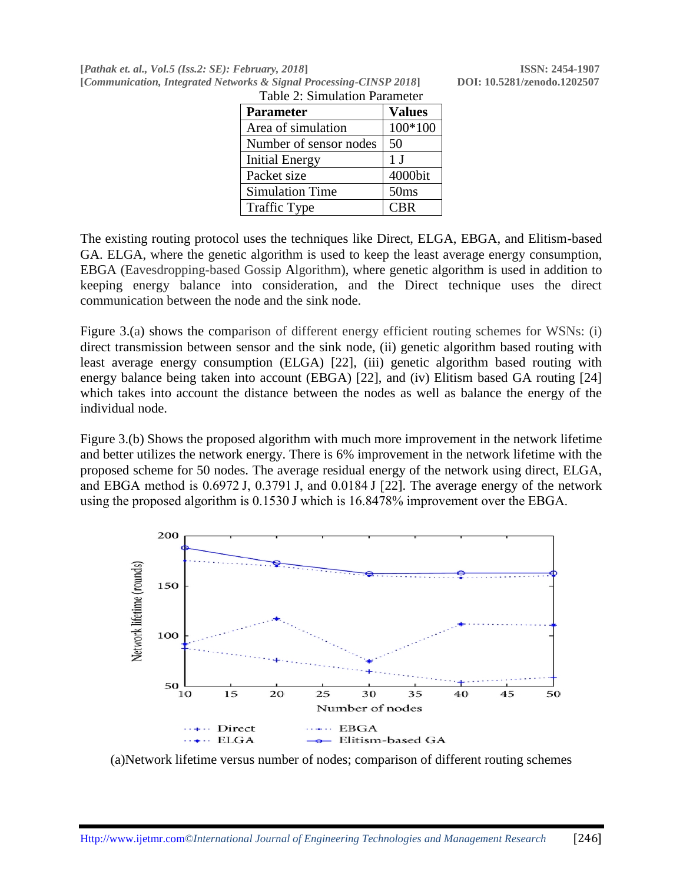**[***Pathak et. al., Vol.5 (Iss.2: SE): February, 2018***] ISSN: 2454-1907 [***Communication, Integrated Networks & Signal Processing-CINSP 2018***] DOI: 10.5281/zenodo.1202507**

| raoro 2. ormanicho i aramolor |                |  |  |  |
|-------------------------------|----------------|--|--|--|
| <b>Parameter</b>              | <b>Values</b>  |  |  |  |
| Area of simulation            | 100*100        |  |  |  |
| Number of sensor nodes        | 50             |  |  |  |
| <b>Initial Energy</b>         | 1 <sub>J</sub> |  |  |  |
| Packet size                   | 4000bit        |  |  |  |
| <b>Simulation Time</b>        | 50ms           |  |  |  |
| <b>Traffic Type</b>           | <b>CBR</b>     |  |  |  |

Table 2: Simulation Parameter

The existing routing protocol uses the techniques like Direct, ELGA, EBGA, and Elitism-based GA. ELGA, where the genetic algorithm is used to keep the least average energy consumption, EBGA (Eavesdropping-based Gossip Algorithm), where genetic algorithm is used in addition to keeping energy balance into consideration, and the Direct technique uses the direct communication between the node and the sink node.

Figure 3.(a) shows the comparison of different energy efficient routing schemes for WSNs: (i) direct transmission between sensor and the sink node, (ii) genetic algorithm based routing with least average energy consumption (ELGA) [22], (iii) genetic algorithm based routing with energy balance being taken into account (EBGA) [22], and (iv) Elitism based GA routing [24] which takes into account the distance between the nodes as well as balance the energy of the individual node.

Figure 3.(b) Shows the proposed algorithm with much more improvement in the network lifetime and better utilizes the network energy. There is 6% improvement in the network lifetime with the proposed scheme for 50 nodes. The average residual energy of the network using direct, ELGA, and EBGA method is 0.6972 J, 0.3791 J, and 0.0184 J [22]. The average energy of the network using the proposed algorithm is 0.1530 J which is 16.8478% improvement over the EBGA.



(a)Network lifetime versus number of nodes; comparison of different routing schemes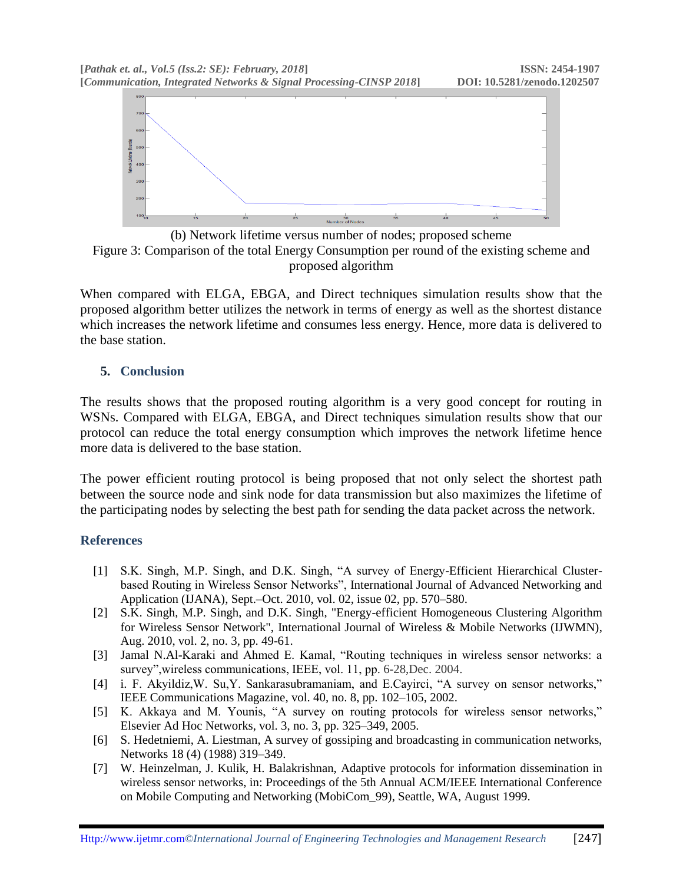



When compared with ELGA, EBGA, and Direct techniques simulation results show that the proposed algorithm better utilizes the network in terms of energy as well as the shortest distance which increases the network lifetime and consumes less energy. Hence, more data is delivered to the base station.

### **5. Conclusion**

The results shows that the proposed routing algorithm is a very good concept for routing in WSNs. Compared with ELGA, EBGA, and Direct techniques simulation results show that our protocol can reduce the total energy consumption which improves the network lifetime hence more data is delivered to the base station.

The power efficient routing protocol is being proposed that not only select the shortest path between the source node and sink node for data transmission but also maximizes the lifetime of the participating nodes by selecting the best path for sending the data packet across the network.

## **References**

- [1] S.K. Singh, M.P. Singh, and D.K. Singh, "A survey of Energy-Efficient Hierarchical Clusterbased Routing in Wireless Sensor Networks", International Journal of Advanced Networking and Application (IJANA), Sept.–Oct. 2010, vol. 02, issue 02, pp. 570–580.
- [2] S.K. Singh, M.P. Singh, and D.K. Singh, "Energy-efficient Homogeneous Clustering Algorithm for Wireless Sensor Network", International Journal of Wireless & Mobile Networks (IJWMN), Aug. 2010, vol. 2, no. 3, pp. 49-61.
- [3] Jamal N.Al-Karaki and Ahmed E. Kamal, "Routing techniques in wireless sensor networks: a survey",wireless communications, IEEE, vol. 11, pp. 6-28,Dec. 2004.
- [4] i. F. Akyildiz,W. Su,Y. Sankarasubramaniam, and E.Cayirci, "A survey on sensor networks," IEEE Communications Magazine, vol. 40, no. 8, pp. 102–105, 2002.
- [5] K. Akkaya and M. Younis, "A survey on routing protocols for wireless sensor networks," Elsevier Ad Hoc Networks, vol. 3, no. 3, pp. 325–349, 2005.
- [6] S. Hedetniemi, A. Liestman, A survey of gossiping and broadcasting in communication networks, Networks 18 (4) (1988) 319–349.
- [7] W. Heinzelman, J. Kulik, H. Balakrishnan, Adaptive protocols for information dissemination in wireless sensor networks, in: Proceedings of the 5th Annual ACM/IEEE International Conference on Mobile Computing and Networking (MobiCom\_99), Seattle, WA, August 1999.